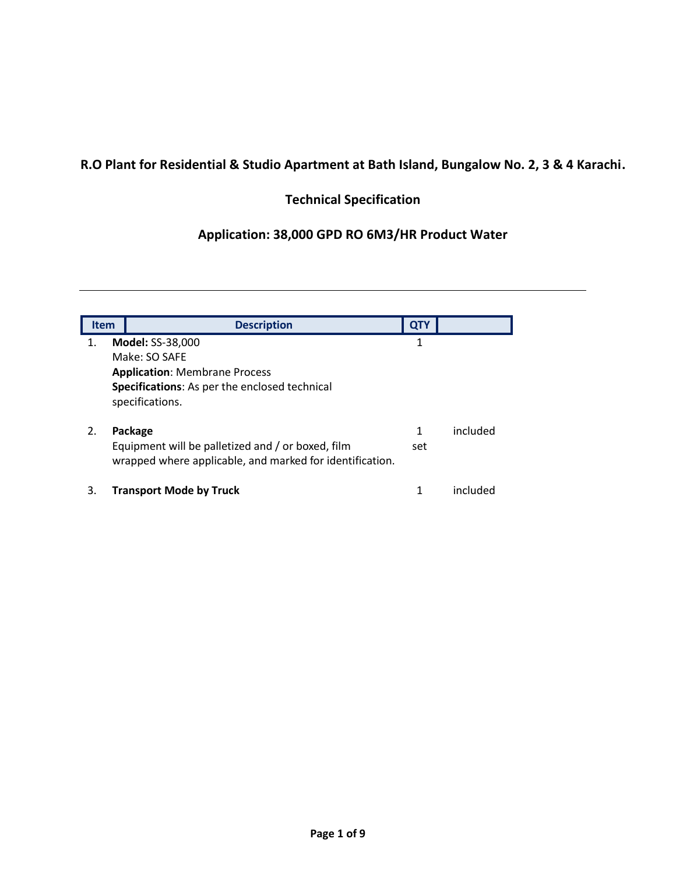# **R.O Plant for Residential & Studio Apartment at Bath Island, Bungalow No. 2, 3 & 4 Karachi.**

# **Technical Specification**

# **Application: 38,000 GPD RO 6M3/HR Product Water**

| <b>Item</b> | <b>Description</b>                                                                                                                                   | <b>QTY</b> |          |
|-------------|------------------------------------------------------------------------------------------------------------------------------------------------------|------------|----------|
| 1.          | <b>Model: SS-38,000</b><br>Make: SO SAFE<br><b>Application: Membrane Process</b><br>Specifications: As per the enclosed technical<br>specifications. | 1          |          |
| 2.          | Package<br>Equipment will be palletized and / or boxed, film<br>wrapped where applicable, and marked for identification.                             | 1<br>set   | included |
| 3.          | <b>Transport Mode by Truck</b>                                                                                                                       |            | included |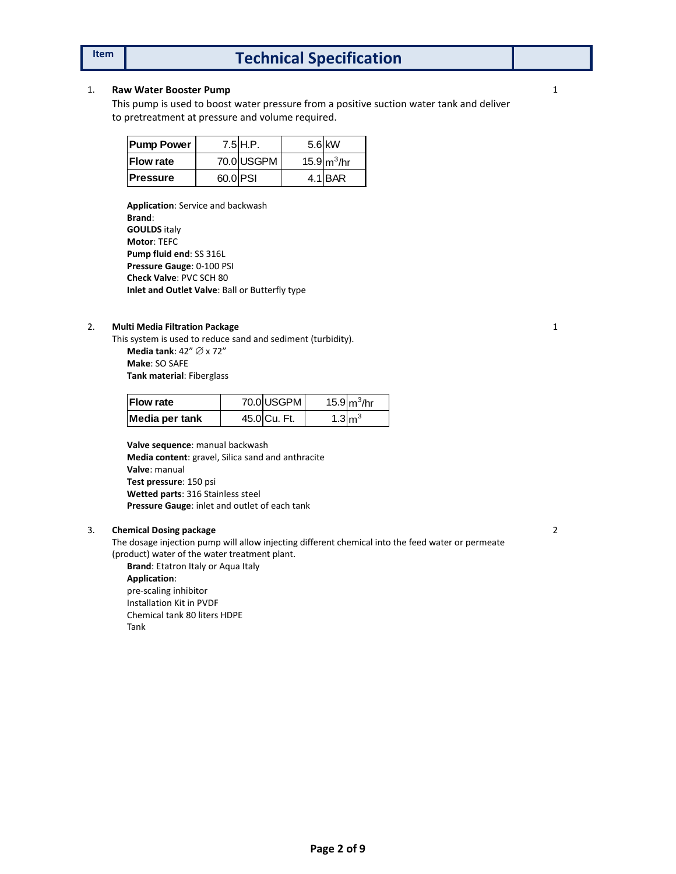# **Item Technical Specification**

### 1. **Raw Water Booster Pump**

This pump is used to boost water pressure from a positive suction water tank and deliver to pretreatment at pressure and volume required.

| <b>Pump Power</b> |          | $7.5$ $H.P.$ | $5.6$ kW       |
|-------------------|----------|--------------|----------------|
| <b>Flow rate</b>  |          | 70.0 USGPM   | 15.9 $m^3$ /hr |
| <b>Pressure</b>   | 60.0 PSI |              | 4.1 BAR        |

**Application**: Service and backwash **Brand**: **GOULDS** italy **Motor**: TEFC **Pump fluid end**: SS 316L **Pressure Gauge**: 0-100 PSI **Check Valve**: PVC SCH 80 **Inlet and Outlet Valve**: Ball or Butterfly type

### 2. **Multi Media Filtration Package**

This system is used to reduce sand and sediment (turbidity).

**Media tank**:  $42'' \oslash x 72''$ **Make**: SO SAFE **Tank material**: Fiberglass

| <b>Flow rate</b> | 70.0 USGPM   |                   | 15.9 $m^3$ /hr |
|------------------|--------------|-------------------|----------------|
| Media per tank   | 45.0 Cu. Ft. | $1.3 \text{Im}^3$ |                |

**Valve sequence**: manual backwash **Media content**: gravel, Silica sand and anthracite **Valve**: manual **Test pressure**: 150 psi **Wetted parts**: 316 Stainless steel **Pressure Gauge**: inlet and outlet of each tank

### 3. **Chemical Dosing package**

The dosage injection pump will allow injecting different chemical into the feed water or permeate (product) water of the water treatment plant.

**Brand**: Etatron Italy or Aqua Italy

**Application**: pre-scaling inhibitor Installation Kit in PVDF Chemical tank 80 liters HDPE Tank

1

2

1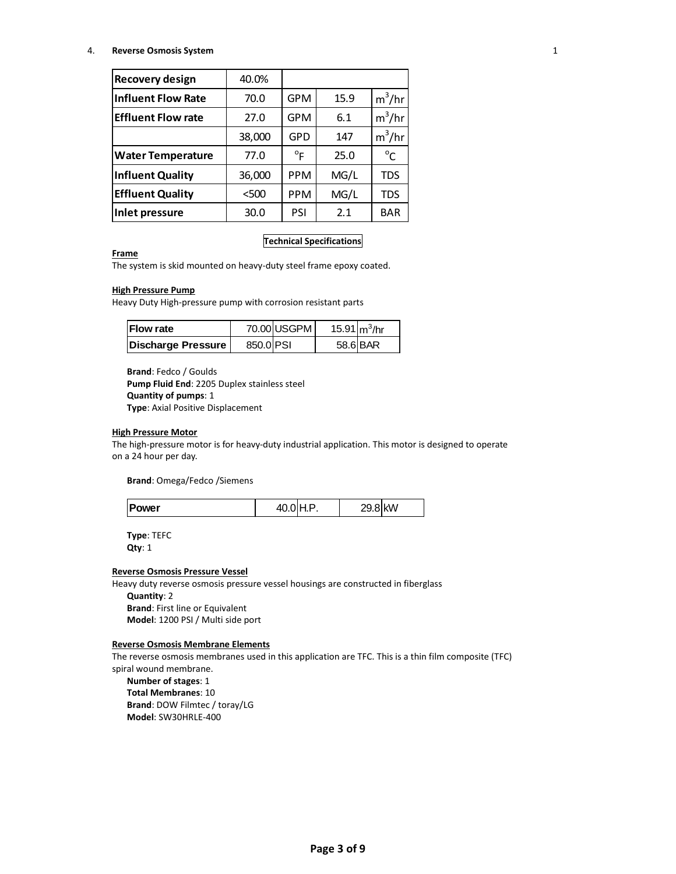#### 4. **Reverse Osmosis System**

| <b>Recovery design</b>    | 40.0%  |              |      |              |
|---------------------------|--------|--------------|------|--------------|
|                           |        |              |      |              |
| <b>Influent Flow Rate</b> | 70.0   | <b>GPM</b>   | 15.9 | $m^3/hr$     |
| <b>Effluent Flow rate</b> | 27.0   | <b>GPM</b>   | 6.1  | $m^3/hr$     |
|                           | 38,000 | GPD          | 147  | $m^3/hr$     |
| <b>Water Temperature</b>  | 77.0   | $^{\circ}$ F | 25.0 | $^{\circ}$ C |
| <b>Influent Quality</b>   | 36,000 | <b>PPM</b>   | MG/L | TDS          |
| <b>Effluent Quality</b>   | $500$  | <b>PPM</b>   | MG/L | TDS          |
| <b>Inlet pressure</b>     | 30.0   | PSI          | 2.1  | <b>BAR</b>   |

#### **Technical Specifications**

## **Frame**

The system is skid mounted on heavy-duty steel frame epoxy coated.

### **High Pressure Pump**

Heavy Duty High-pressure pump with corrosion resistant parts

| <b>IFlow rate</b>  |           | 70.00 USGPM | 15.91 $m^3$ /hr |          |
|--------------------|-----------|-------------|-----------------|----------|
| Discharge Pressure | 850.0 PSI |             |                 | 58.6 BAR |

**Brand**: Fedco / Goulds **Pump Fluid End**: 2205 Duplex stainless steel **Quantity of pumps**: 1 **Type**: Axial Positive Displacement

#### **High Pressure Motor**

The high-pressure motor is for heavy-duty industrial application. This motor is designed to operate on a 24 hour per day.

**Brand**: Omega/Fedco /Siemens

**Type**: TEFC **Qty**: 1

#### **Reverse Osmosis Pressure Vessel**

Heavy duty reverse osmosis pressure vessel housings are constructed in fiberglass

## **Quantity**: 2

**Brand**: First line or Equivalent **Model**: 1200 PSI / Multi side port

#### **Reverse Osmosis Membrane Elements**

The reverse osmosis membranes used in this application are TFC. This is a thin film composite (TFC) spiral wound membrane.

**Number of stages**: 1 **Total Membranes**: 10 **Brand**: DOW Filmtec / toray/LG **Model**: SW30HRLE-400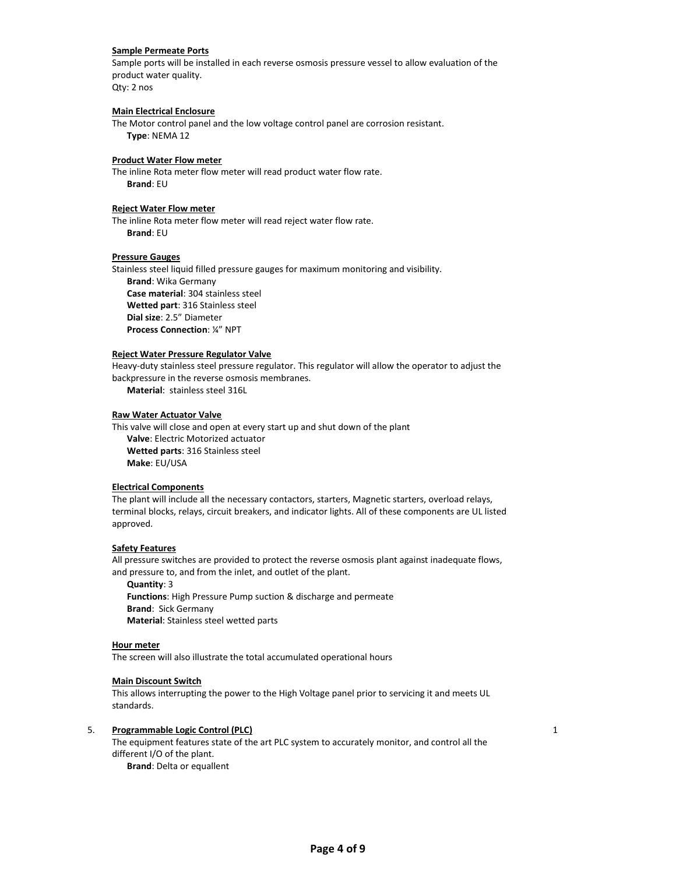#### **Sample Permeate Ports**

Sample ports will be installed in each reverse osmosis pressure vessel to allow evaluation of the product water quality. Qty: 2 nos

#### **Main Electrical Enclosure**

The Motor control panel and the low voltage control panel are corrosion resistant. **Type**: NEMA 12

#### **Product Water Flow meter**

The inline Rota meter flow meter will read product water flow rate. **Brand**: EU

#### **Reject Water Flow meter**

The inline Rota meter flow meter will read reject water flow rate. **Brand**: EU

#### **Pressure Gauges**

Stainless steel liquid filled pressure gauges for maximum monitoring and visibility. **Brand**: Wika Germany **Case material**: 304 stainless steel **Wetted part**: 316 Stainless steel **Dial size**: 2.5" Diameter **Process Connection**: ¼" NPT

#### **Reject Water Pressure Regulator Valve**

Heavy-duty stainless steel pressure regulator. This regulator will allow the operator to adjust the backpressure in the reverse osmosis membranes.

**Material**: stainless steel 316L

#### **Raw Water Actuator Valve**

This valve will close and open at every start up and shut down of the plant **Valve**: Electric Motorized actuator **Wetted parts**: 316 Stainless steel **Make**: EU/USA

#### **Electrical Components**

The plant will include all the necessary contactors, starters, Magnetic starters, overload relays, terminal blocks, relays, circuit breakers, and indicator lights. All of these components are UL listed approved.

#### **Safety Features**

All pressure switches are provided to protect the reverse osmosis plant against inadequate flows, and pressure to, and from the inlet, and outlet of the plant.

**Quantity**: 3 **Functions**: High Pressure Pump suction & discharge and permeate **Brand**: Sick Germany **Material**: Stainless steel wetted parts

#### **Hour meter**

The screen will also illustrate the total accumulated operational hours

#### **Main Discount Switch**

This allows interrupting the power to the High Voltage panel prior to servicing it and meets UL standards.

#### 5. **Programmable Logic Control (PLC)**

The equipment features state of the art PLC system to accurately monitor, and control all the different I/O of the plant. **Brand**: Delta or equallent

1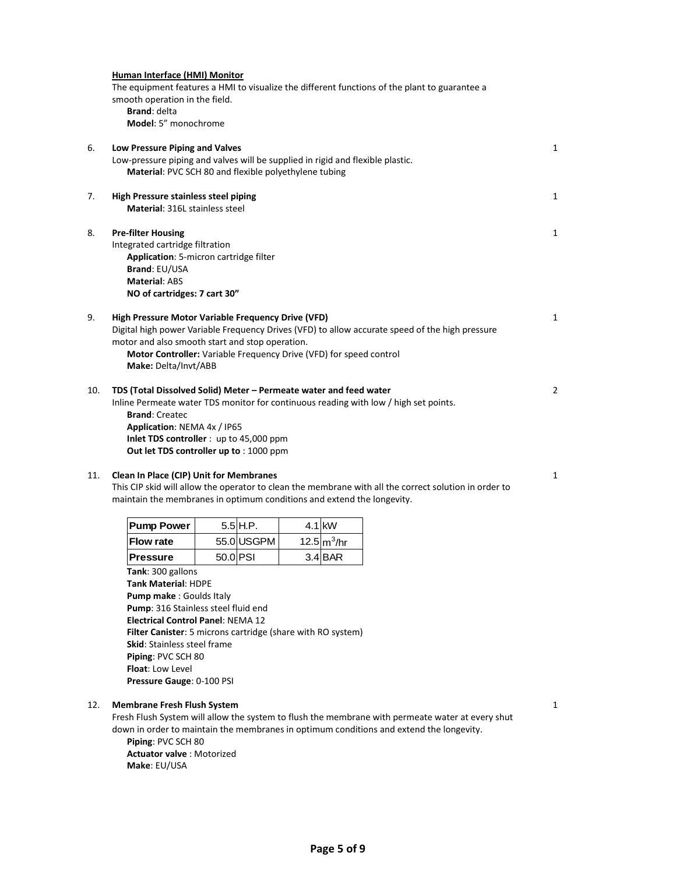|     | Human Interface (HMI) Monitor<br>smooth operation in the field.<br><b>Brand: delta</b><br>Model: 5" monochrome                                                                                                                                                                                                                            |          |            |  |                | The equipment features a HMI to visualize the different functions of the plant to guarantee a                                                                                               |   |  |  |  |  |
|-----|-------------------------------------------------------------------------------------------------------------------------------------------------------------------------------------------------------------------------------------------------------------------------------------------------------------------------------------------|----------|------------|--|----------------|---------------------------------------------------------------------------------------------------------------------------------------------------------------------------------------------|---|--|--|--|--|
| 6.  | Low Pressure Piping and Valves<br>Low-pressure piping and valves will be supplied in rigid and flexible plastic.<br>Material: PVC SCH 80 and flexible polyethylene tubing                                                                                                                                                                 |          |            |  |                |                                                                                                                                                                                             |   |  |  |  |  |
| 7.  | <b>High Pressure stainless steel piping</b><br><b>Material: 316L stainless steel</b>                                                                                                                                                                                                                                                      |          |            |  |                |                                                                                                                                                                                             |   |  |  |  |  |
| 8.  | <b>Pre-filter Housing</b><br>Integrated cartridge filtration<br>Application: 5-micron cartridge filter<br>Brand: EU/USA<br><b>Material: ABS</b><br>NO of cartridges: 7 cart 30"                                                                                                                                                           |          |            |  |                |                                                                                                                                                                                             |   |  |  |  |  |
| 9.  | High Pressure Motor Variable Frequency Drive (VFD)<br>Digital high power Variable Frequency Drives (VFD) to allow accurate speed of the high pressure<br>motor and also smooth start and stop operation.<br>Motor Controller: Variable Frequency Drive (VFD) for speed control<br>Make: Delta/Invt/ABB                                    |          |            |  |                |                                                                                                                                                                                             |   |  |  |  |  |
| 10. | TDS (Total Dissolved Solid) Meter - Permeate water and feed water<br>Inline Permeate water TDS monitor for continuous reading with low / high set points.<br><b>Brand: Createc</b><br>Application: NEMA 4x / IP65<br>Inlet TDS controller: up to 45,000 ppm<br>Out let TDS controller up to : 1000 ppm                                    |          |            |  |                |                                                                                                                                                                                             |   |  |  |  |  |
| 11. | <b>Clean In Place (CIP) Unit for Membranes</b><br>maintain the membranes in optimum conditions and extend the longevity.                                                                                                                                                                                                                  |          |            |  |                | This CIP skid will allow the operator to clean the membrane with all the correct solution in order to                                                                                       | 1 |  |  |  |  |
|     | <b>Pump Power</b>                                                                                                                                                                                                                                                                                                                         |          | $5.5$ H.P. |  | 4.1 kW         |                                                                                                                                                                                             |   |  |  |  |  |
|     | <b>Flow rate</b>                                                                                                                                                                                                                                                                                                                          |          | 55.0 USGPM |  | 12.5 $m^3$ /hr |                                                                                                                                                                                             |   |  |  |  |  |
|     | <b>Pressure</b>                                                                                                                                                                                                                                                                                                                           | 50.0 PSI |            |  | $3.4$ BAR      |                                                                                                                                                                                             |   |  |  |  |  |
|     | Tank: 300 gallons<br><b>Tank Material: HDPE</b><br>Pump make: Goulds Italy<br>Pump: 316 Stainless steel fluid end<br><b>Electrical Control Panel: NEMA 12</b><br>Filter Canister: 5 microns cartridge (share with RO system)<br><b>Skid:</b> Stainless steel frame<br>Piping: PVC SCH 80<br>Float: Low Level<br>Pressure Gauge: 0-100 PSI |          |            |  |                |                                                                                                                                                                                             |   |  |  |  |  |
| 12. | <b>Membrane Fresh Flush System</b>                                                                                                                                                                                                                                                                                                        |          |            |  |                | Fresh Flush System will allow the system to flush the membrane with permeate water at every shut<br>down in order to maintain the membranes in optimum conditions and extend the longevity. | 1 |  |  |  |  |

**Piping**: PVC SCH 80 **Actuator valve** : Motorized

**Make**: EU/USA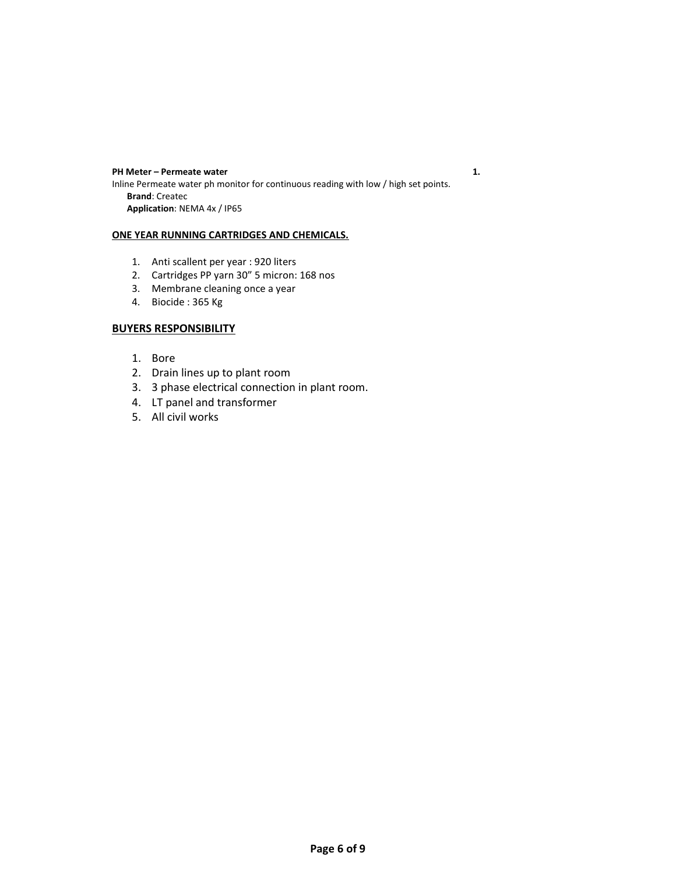**PH Meter** – Permeate water 1. Inline Permeate water ph monitor for continuous reading with low / high set points. **Brand**: Createc **Application**: NEMA 4x / IP65

### **ONE YEAR RUNNING CARTRIDGES AND CHEMICALS.**

- 1. Anti scallent per year : 920 liters
- 2. Cartridges PP yarn 30" 5 micron: 168 nos
- 3. Membrane cleaning once a year
- 4. Biocide : 365 Kg

## **BUYERS RESPONSIBILITY**

- 1. Bore
- 2. Drain lines up to plant room
- 3. 3 phase electrical connection in plant room.
- 4. LT panel and transformer
- 5. All civil works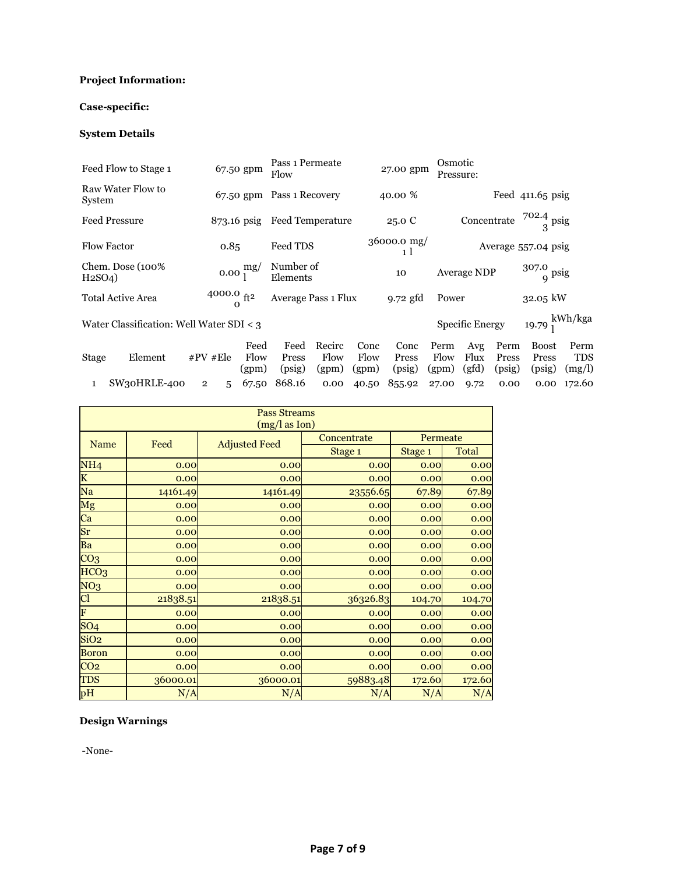# **Project Information:**

# **Case-specific:**

## **System Details**

|                                | Feed Flow to Stage 1                     |                |                                 | 67.50 gpm                  | Pass 1 Permeate<br>Flow   |                         |                       | 27.00 gpm               | Osmotic                            | Pressure:              |                         |                               |                              |
|--------------------------------|------------------------------------------|----------------|---------------------------------|----------------------------|---------------------------|-------------------------|-----------------------|-------------------------|------------------------------------|------------------------|-------------------------|-------------------------------|------------------------------|
| System                         | Raw Water Flow to                        |                |                                 |                            | 67.50 gpm Pass 1 Recovery |                         |                       | 40.00 %                 |                                    |                        |                         | Feed $411.65$ psig            |                              |
|                                | <b>Feed Pressure</b><br>$873.16$ psig    |                |                                 | <b>Feed Temperature</b>    |                           |                         | 25.0 C                |                         | Concentrate $\frac{702.4}{3}$ psig |                        |                         |                               |                              |
|                                | <b>Flow Factor</b>                       |                | 0.85                            |                            | Feed TDS                  |                         |                       | 36000.0 mg/<br>1 l      |                                    |                        |                         | Average 557.04 psig           |                              |
| H <sub>2</sub> SO <sub>4</sub> | Chem. Dose (100%)                        |                |                                 | $0.00 \frac{\text{mg}}{1}$ | Number of<br>Elements     |                         |                       | 10                      |                                    | <b>Average NDP</b>     |                         | $307.0$ psig                  |                              |
|                                | Total Active Area                        |                | $^{4000.0}_{0}$ ft <sup>2</sup> |                            | Average Pass 1 Flux       |                         |                       | $9.72$ gfd              | Power                              |                        |                         | $32.05$ kW                    |                              |
|                                | Water Classification: Well Water SDI < 3 |                |                                 |                            |                           |                         |                       |                         |                                    | <b>Specific Energy</b> |                         | 19.79 $_{\rm l}^{\rm kWh/kg}$ |                              |
| <b>Stage</b>                   | Element                                  | $#PV$ #Ele     |                                 | Feed<br>Flow<br>(gpm)      | Feed<br>Press<br>(psig)   | Recirc<br>Flow<br>(gpm) | Conc<br>Flow<br>(gpm) | Conc<br>Press<br>(psig) | Perm<br>Flow<br>(gpm)              | Avg<br>Flux<br>(gfd)   | Perm<br>Press<br>(psig) | Boost<br>Press<br>(psig)      | Perm<br><b>TDS</b><br>(mg/l) |
| 1                              | SW30HRLE-400                             | $\overline{2}$ | 5                               | 67.50                      | 868.16                    | 0.00                    | 40.50                 | 855.92                  | 27.00                              | 9.72                   | 0.00                    | 0.00                          | 172.60                       |

| <b>Pass Streams</b><br>(mg/l as Ion) |          |                      |             |          |        |  |  |  |  |
|--------------------------------------|----------|----------------------|-------------|----------|--------|--|--|--|--|
|                                      |          |                      | Concentrate | Permeate |        |  |  |  |  |
| Name                                 | Feed     | <b>Adjusted Feed</b> | Stage 1     | Stage 1  | Total  |  |  |  |  |
| NH <sub>4</sub>                      | 0.00     | 0.00                 | 0.00        | 0.00     | 0.00   |  |  |  |  |
| $\overline{\mathbf{K}}$              | 0.00     | 0.00                 | 0.00        | 0.00     | 0.00   |  |  |  |  |
| Na                                   | 14161.49 | 14161.49             | 23556.65    | 67.89    | 67.89  |  |  |  |  |
| Mg                                   | 0.00     | 0.00                 | 0.00        | 0.00     | 0.00   |  |  |  |  |
| $\overline{\text{Ca}}$               | 0.00     | 0.00                 | 0.00        | 0.00     | 0.00   |  |  |  |  |
| Sr                                   | 0.00     | 0.00                 | 0.00        | 0.00     | 0.00   |  |  |  |  |
| $\overline{Ba}$                      | 0.00     | 0.00                 | 0.00        | 0.00     | 0.00   |  |  |  |  |
| CO <sub>3</sub>                      | 0.00     | 0.00                 | 0.00        | 0.00     | 0.00   |  |  |  |  |
| HCO <sub>3</sub>                     | 0.00     | 0.00                 | 0.00        | 0.00     | 0.00   |  |  |  |  |
| NO <sub>3</sub>                      | 0.00     | 0.00                 | 0.00        | 0.00     | 0.00   |  |  |  |  |
| Cl                                   | 21838.51 | 21838.51             | 36326.83    | 104.70   | 104.70 |  |  |  |  |
| $\overline{\mathbf{F}}$              | 0.00     | 0.00                 | 0.00        | 0.00     | 0.00   |  |  |  |  |
| SO <sub>4</sub>                      | 0.00     | 0.00                 | 0.00        | 0.00     | 0.00   |  |  |  |  |
| SiO <sub>2</sub>                     | 0.00     | 0.00                 | 0.00        | 0.00     | 0.00   |  |  |  |  |
| <b>Boron</b>                         | 0.00     | 0.00                 | 0.00        | 0.00     | 0.00   |  |  |  |  |
| CO <sub>2</sub>                      | 0.00     | 0.00                 | 0.00        | 0.00     | 0.00   |  |  |  |  |
| TDS                                  | 36000.01 | 36000.01             | 59883.48    | 172.60   | 172.60 |  |  |  |  |
| pH                                   | N/A      | N/A                  | N/A         | N/A      | N/A    |  |  |  |  |

# **Design Warnings**

-None-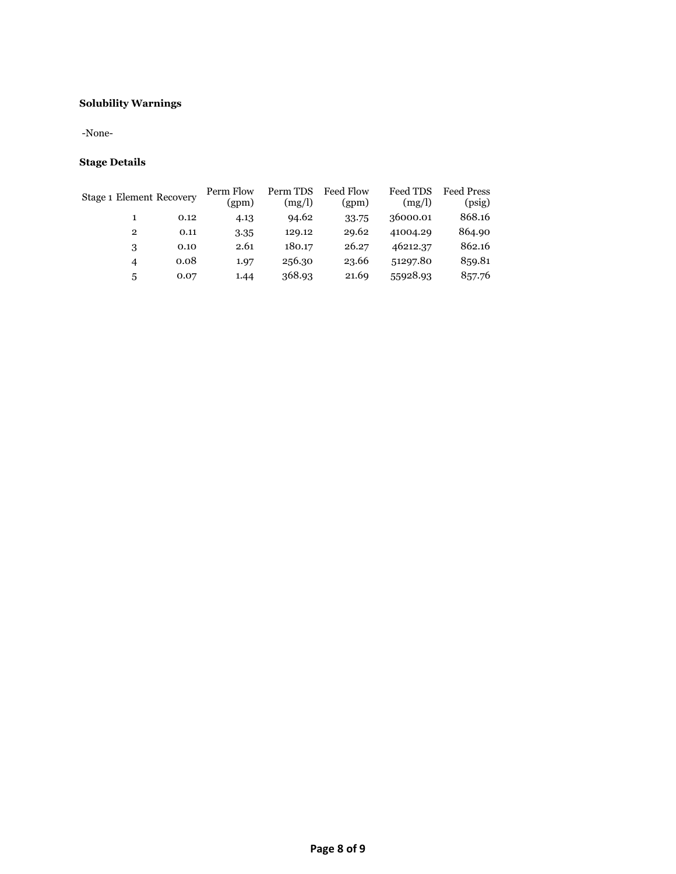## **Solubility Warnings**

-None-

# **Stage Details**

| Stage 1 Element Recovery |      | Perm Flow<br>(gpm) | Perm TDS<br>(mg/l) | <b>Feed Flow</b><br>(gpm) | Feed TDS<br>(mg/l) | Feed Press<br>(psig) |
|--------------------------|------|--------------------|--------------------|---------------------------|--------------------|----------------------|
|                          | 0.12 | 4.13               | 94.62              | 33.75                     | 36000.01           | 868.16               |
| $\mathbf{2}$             | 0.11 | 3.35               | 129.12             | 29.62                     | 41004.29           | 864.90               |
| 3                        | 0.10 | 2.61               | 180.17             | 26.27                     | 46212.37           | 862.16               |
| 4                        | 0.08 | 1.97               | 256.30             | 23.66                     | 51297.80           | 859.81               |
| 5                        | 0.07 | 1.44               | 368.93             | 21.69                     | 55928.93           | 857.76               |
|                          |      |                    |                    |                           |                    |                      |